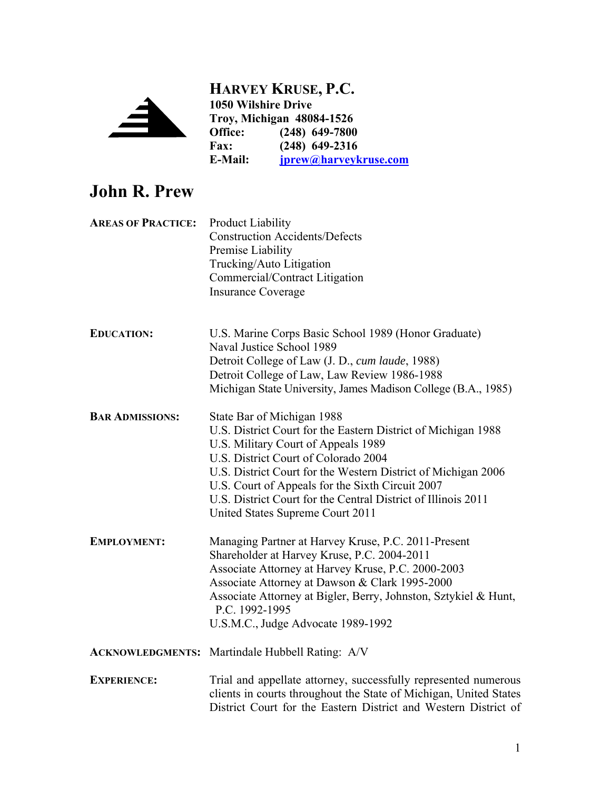

**HARVEY KRUSE, P.C. 1050 Wilshire Drive Troy, Michigan 48084-1526** Office: (248) 649-7800<br>Fax: (248) 649-2316 **Fax: (248) 649-2316 E-Mail: jprew@harveykruse.com**

# **John R. Prew**

| <b>AREAS OF PRACTICE:</b> | <b>Product Liability</b><br><b>Construction Accidents/Defects</b><br>Premise Liability<br>Trucking/Auto Litigation<br>Commercial/Contract Litigation<br><b>Insurance Coverage</b>                                                                                                                                                                                                                    |
|---------------------------|------------------------------------------------------------------------------------------------------------------------------------------------------------------------------------------------------------------------------------------------------------------------------------------------------------------------------------------------------------------------------------------------------|
| <b>EDUCATION:</b>         | U.S. Marine Corps Basic School 1989 (Honor Graduate)<br>Naval Justice School 1989<br>Detroit College of Law (J. D., cum laude, 1988)<br>Detroit College of Law, Law Review 1986-1988<br>Michigan State University, James Madison College (B.A., 1985)                                                                                                                                                |
| <b>BAR ADMISSIONS:</b>    | State Bar of Michigan 1988<br>U.S. District Court for the Eastern District of Michigan 1988<br>U.S. Military Court of Appeals 1989<br>U.S. District Court of Colorado 2004<br>U.S. District Court for the Western District of Michigan 2006<br>U.S. Court of Appeals for the Sixth Circuit 2007<br>U.S. District Court for the Central District of Illinois 2011<br>United States Supreme Court 2011 |
| <b>EMPLOYMENT:</b>        | Managing Partner at Harvey Kruse, P.C. 2011-Present<br>Shareholder at Harvey Kruse, P.C. 2004-2011<br>Associate Attorney at Harvey Kruse, P.C. 2000-2003<br>Associate Attorney at Dawson & Clark 1995-2000<br>Associate Attorney at Bigler, Berry, Johnston, Sztykiel & Hunt,<br>P.C. 1992-1995<br>U.S.M.C., Judge Advocate 1989-1992                                                                |
|                           | <b>ACKNOWLEDGMENTS:</b> Martindale Hubbell Rating: A/V                                                                                                                                                                                                                                                                                                                                               |
| <b>EXPERIENCE:</b>        | Trial and appellate attorney, successfully represented numerous<br>clients in courts throughout the State of Michigan, United States<br>District Court for the Eastern District and Western District of                                                                                                                                                                                              |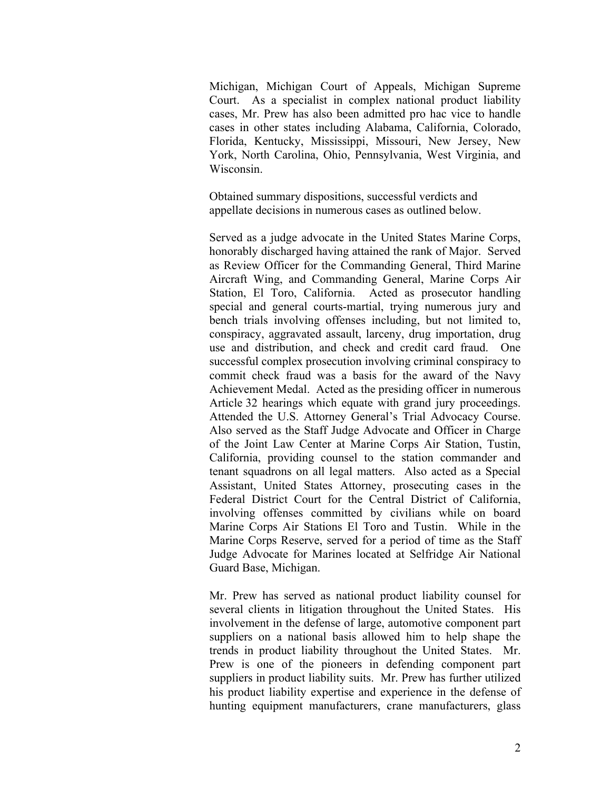Michigan, Michigan Court of Appeals, Michigan Supreme Court. As a specialist in complex national product liability cases, Mr. Prew has also been admitted pro hac vice to handle cases in other states including Alabama, California, Colorado, Florida, Kentucky, Mississippi, Missouri, New Jersey, New York, North Carolina, Ohio, Pennsylvania, West Virginia, and Wisconsin.

Obtained summary dispositions, successful verdicts and appellate decisions in numerous cases as outlined below.

Served as a judge advocate in the United States Marine Corps, honorably discharged having attained the rank of Major. Served as Review Officer for the Commanding General, Third Marine Aircraft Wing, and Commanding General, Marine Corps Air Station, El Toro, California. Acted as prosecutor handling special and general courts-martial, trying numerous jury and bench trials involving offenses including, but not limited to, conspiracy, aggravated assault, larceny, drug importation, drug use and distribution, and check and credit card fraud. One successful complex prosecution involving criminal conspiracy to commit check fraud was a basis for the award of the Navy Achievement Medal. Acted as the presiding officer in numerous Article 32 hearings which equate with grand jury proceedings. Attended the U.S. Attorney General's Trial Advocacy Course. Also served as the Staff Judge Advocate and Officer in Charge of the Joint Law Center at Marine Corps Air Station, Tustin, California, providing counsel to the station commander and tenant squadrons on all legal matters. Also acted as a Special Assistant, United States Attorney, prosecuting cases in the Federal District Court for the Central District of California, involving offenses committed by civilians while on board Marine Corps Air Stations El Toro and Tustin. While in the Marine Corps Reserve, served for a period of time as the Staff Judge Advocate for Marines located at Selfridge Air National Guard Base, Michigan.

Mr. Prew has served as national product liability counsel for several clients in litigation throughout the United States. His involvement in the defense of large, automotive component part suppliers on a national basis allowed him to help shape the trends in product liability throughout the United States. Mr. Prew is one of the pioneers in defending component part suppliers in product liability suits. Mr. Prew has further utilized his product liability expertise and experience in the defense of hunting equipment manufacturers, crane manufacturers, glass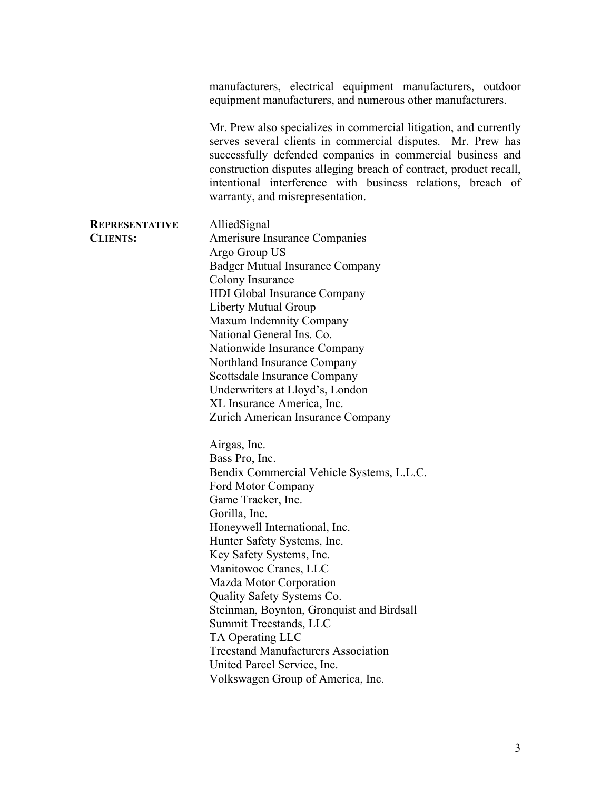manufacturers, electrical equipment manufacturers, outdoor equipment manufacturers, and numerous other manufacturers. Mr. Prew also specializes in commercial litigation, and currently serves several clients in commercial disputes. Mr. Prew has successfully defended companies in commercial business and construction disputes alleging breach of contract, product recall, intentional interference with business relations, breach of warranty, and misrepresentation. **REPRESENTATIVE CLIENTS:**  AlliedSignal Amerisure Insurance Companies Argo Group US Badger Mutual Insurance Company Colony Insurance HDI Global Insurance Company Liberty Mutual Group Maxum Indemnity Company National General Ins. Co. Nationwide Insurance Company Northland Insurance Company Scottsdale Insurance Company Underwriters at Lloyd's, London XL Insurance America, Inc. Zurich American Insurance Company Airgas, Inc. Bass Pro, Inc. Bendix Commercial Vehicle Systems, L.L.C. Ford Motor Company Game Tracker, Inc. Gorilla, Inc. Honeywell International, Inc. Hunter Safety Systems, Inc. Key Safety Systems, Inc. Manitowoc Cranes, LLC Mazda Motor Corporation Quality Safety Systems Co. Steinman, Boynton, Gronquist and Birdsall Summit Treestands, LLC TA Operating LLC Treestand Manufacturers Association United Parcel Service, Inc. Volkswagen Group of America, Inc.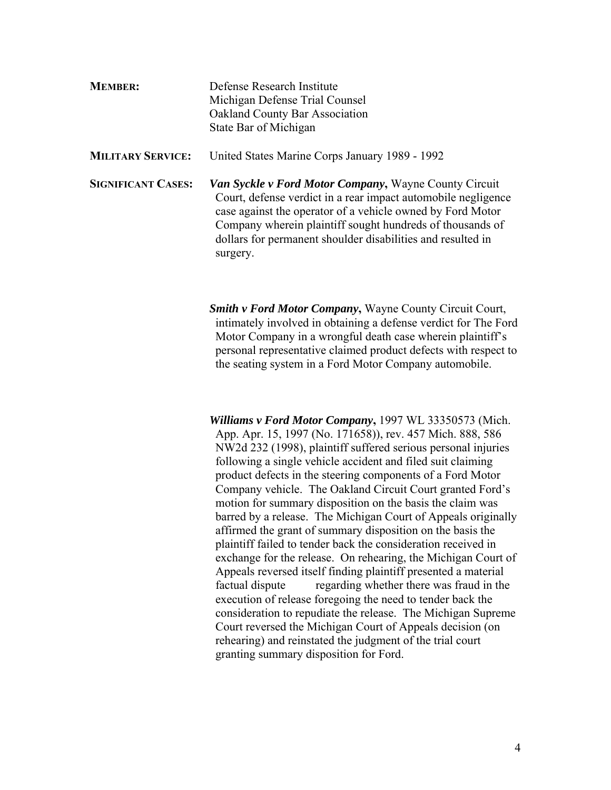| <b>MEMBER:</b>            | Defense Research Institute<br>Michigan Defense Trial Counsel<br><b>Oakland County Bar Association</b><br>State Bar of Michigan                                                                                                                                                                                                      |
|---------------------------|-------------------------------------------------------------------------------------------------------------------------------------------------------------------------------------------------------------------------------------------------------------------------------------------------------------------------------------|
| <b>MILITARY SERVICE:</b>  | United States Marine Corps January 1989 - 1992                                                                                                                                                                                                                                                                                      |
| <b>SIGNIFICANT CASES:</b> | <b>Van Syckle v Ford Motor Company, Wayne County Circuit</b><br>Court, defense verdict in a rear impact automobile negligence<br>case against the operator of a vehicle owned by Ford Motor<br>Company wherein plaintiff sought hundreds of thousands of<br>dollars for permanent shoulder disabilities and resulted in<br>surgery. |

*Smith v Ford Motor Company***,** Wayne County Circuit Court, intimately involved in obtaining a defense verdict for The Ford Motor Company in a wrongful death case wherein plaintiff's personal representative claimed product defects with respect to the seating system in a Ford Motor Company automobile.

*Williams v Ford Motor Company***,** 1997 WL 33350573 (Mich. App. Apr. 15, 1997 (No. 171658)), rev. 457 Mich. 888, 586 NW2d 232 (1998), plaintiff suffered serious personal injuries following a single vehicle accident and filed suit claiming product defects in the steering components of a Ford Motor Company vehicle. The Oakland Circuit Court granted Ford's motion for summary disposition on the basis the claim was barred by a release. The Michigan Court of Appeals originally affirmed the grant of summary disposition on the basis the plaintiff failed to tender back the consideration received in exchange for the release. On rehearing, the Michigan Court of Appeals reversed itself finding plaintiff presented a material factual dispute regarding whether there was fraud in the execution of release foregoing the need to tender back the consideration to repudiate the release. The Michigan Supreme Court reversed the Michigan Court of Appeals decision (on rehearing) and reinstated the judgment of the trial court granting summary disposition for Ford.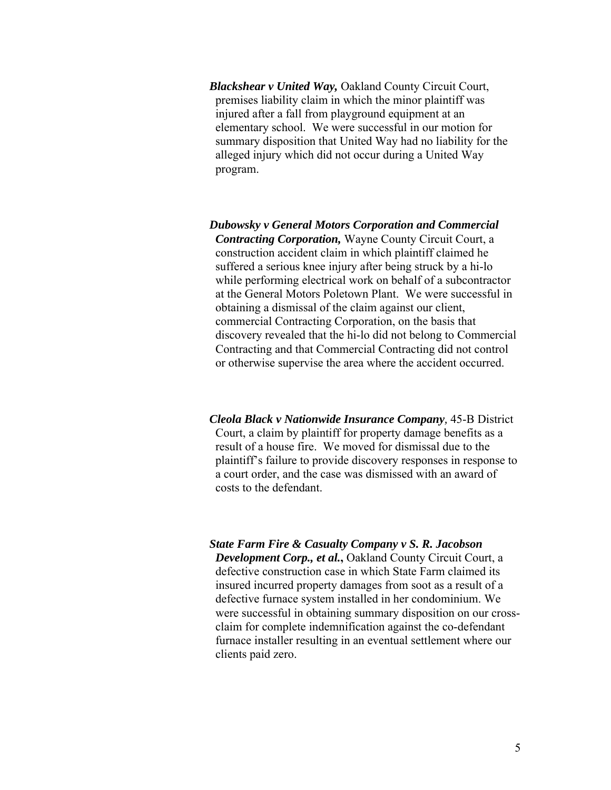*Blackshear v United Way,* Oakland County Circuit Court, premises liability claim in which the minor plaintiff was injured after a fall from playground equipment at an elementary school. We were successful in our motion for summary disposition that United Way had no liability for the alleged injury which did not occur during a United Way program.

*Dubowsky v General Motors Corporation and Commercial Contracting Corporation,* Wayne County Circuit Court, a construction accident claim in which plaintiff claimed he suffered a serious knee injury after being struck by a hi-lo while performing electrical work on behalf of a subcontractor at the General Motors Poletown Plant. We were successful in obtaining a dismissal of the claim against our client, commercial Contracting Corporation, on the basis that discovery revealed that the hi-lo did not belong to Commercial Contracting and that Commercial Contracting did not control or otherwise supervise the area where the accident occurred.

*Cleola Black v Nationwide Insurance Company,* 45-B District Court, a claim by plaintiff for property damage benefits as a result of a house fire. We moved for dismissal due to the plaintiff's failure to provide discovery responses in response to a court order, and the case was dismissed with an award of costs to the defendant.

*State Farm Fire & Casualty Company v S. R. Jacobson Development Corp., et al.***,** Oakland County Circuit Court, a defective construction case in which State Farm claimed its insured incurred property damages from soot as a result of a defective furnace system installed in her condominium. We were successful in obtaining summary disposition on our crossclaim for complete indemnification against the co-defendant furnace installer resulting in an eventual settlement where our clients paid zero.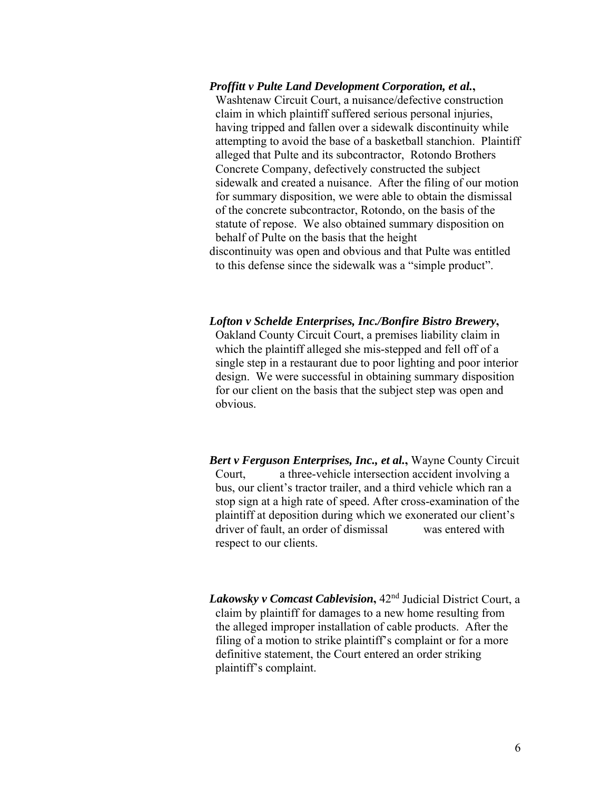*Proffitt v Pulte Land Development Corporation, et al.***,** Washtenaw Circuit Court, a nuisance/defective construction claim in which plaintiff suffered serious personal injuries, having tripped and fallen over a sidewalk discontinuity while attempting to avoid the base of a basketball stanchion. Plaintiff alleged that Pulte and its subcontractor, Rotondo Brothers Concrete Company, defectively constructed the subject sidewalk and created a nuisance. After the filing of our motion for summary disposition, we were able to obtain the dismissal of the concrete subcontractor, Rotondo, on the basis of the statute of repose. We also obtained summary disposition on behalf of Pulte on the basis that the height discontinuity was open and obvious and that Pulte was entitled to this defense since the sidewalk was a "simple product".

*Lofton v Schelde Enterprises, Inc./Bonfire Bistro Brewery***,**  Oakland County Circuit Court, a premises liability claim in which the plaintiff alleged she mis-stepped and fell off of a single step in a restaurant due to poor lighting and poor interior design. We were successful in obtaining summary disposition for our client on the basis that the subject step was open and obvious.

*Bert v Ferguson Enterprises, Inc., et al.***,** Wayne County Circuit Court, a three-vehicle intersection accident involving a bus, our client's tractor trailer, and a third vehicle which ran a stop sign at a high rate of speed. After cross-examination of the plaintiff at deposition during which we exonerated our client's driver of fault, an order of dismissal was entered with respect to our clients.

*Lakowsky v Comcast Cablevision***,** 42nd Judicial District Court, a claim by plaintiff for damages to a new home resulting from the alleged improper installation of cable products. After the filing of a motion to strike plaintiff's complaint or for a more definitive statement, the Court entered an order striking plaintiff's complaint.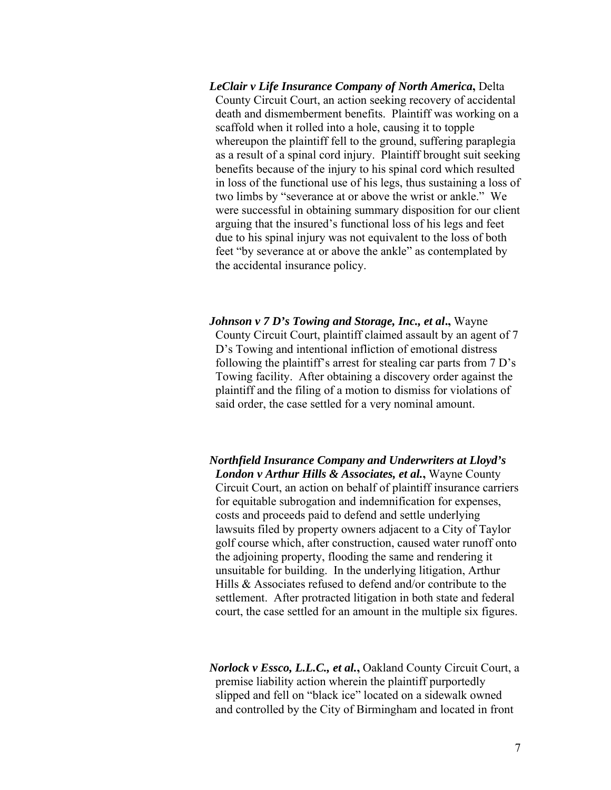*LeClair v Life Insurance Company of North America***,** Delta County Circuit Court, an action seeking recovery of accidental death and dismemberment benefits. Plaintiff was working on a scaffold when it rolled into a hole, causing it to topple whereupon the plaintiff fell to the ground, suffering paraplegia as a result of a spinal cord injury. Plaintiff brought suit seeking benefits because of the injury to his spinal cord which resulted in loss of the functional use of his legs, thus sustaining a loss of two limbs by "severance at or above the wrist or ankle." We were successful in obtaining summary disposition for our client arguing that the insured's functional loss of his legs and feet due to his spinal injury was not equivalent to the loss of both feet "by severance at or above the ankle" as contemplated by the accidental insurance policy.

*Johnson v 7 D's Towing and Storage, Inc., et al***.,** Wayne County Circuit Court, plaintiff claimed assault by an agent of 7 D's Towing and intentional infliction of emotional distress following the plaintiff's arrest for stealing car parts from 7 D's Towing facility. After obtaining a discovery order against the plaintiff and the filing of a motion to dismiss for violations of said order, the case settled for a very nominal amount.

*Northfield Insurance Company and Underwriters at Lloyd's London v Arthur Hills & Associates, et al.***,** Wayne County Circuit Court, an action on behalf of plaintiff insurance carriers for equitable subrogation and indemnification for expenses, costs and proceeds paid to defend and settle underlying lawsuits filed by property owners adjacent to a City of Taylor golf course which, after construction, caused water runoff onto the adjoining property, flooding the same and rendering it unsuitable for building. In the underlying litigation, Arthur Hills & Associates refused to defend and/or contribute to the settlement. After protracted litigation in both state and federal court, the case settled for an amount in the multiple six figures.

*Norlock v Essco, L.L.C., et al.***,** Oakland County Circuit Court, a premise liability action wherein the plaintiff purportedly slipped and fell on "black ice" located on a sidewalk owned and controlled by the City of Birmingham and located in front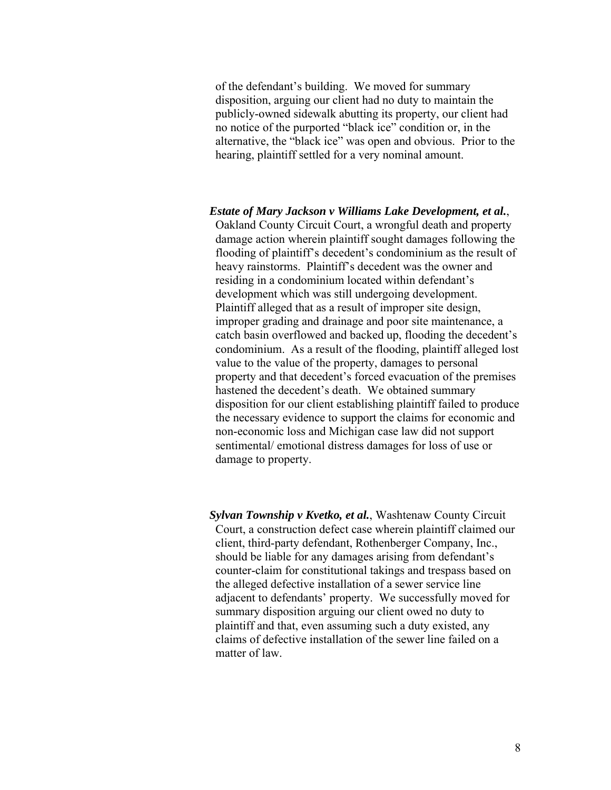of the defendant's building. We moved for summary disposition, arguing our client had no duty to maintain the publicly-owned sidewalk abutting its property, our client had no notice of the purported "black ice" condition or, in the alternative, the "black ice" was open and obvious. Prior to the hearing, plaintiff settled for a very nominal amount.

*Estate of Mary Jackson v Williams Lake Development, et al.*, Oakland County Circuit Court, a wrongful death and property damage action wherein plaintiff sought damages following the flooding of plaintiff's decedent's condominium as the result of heavy rainstorms. Plaintiff's decedent was the owner and residing in a condominium located within defendant's development which was still undergoing development. Plaintiff alleged that as a result of improper site design, improper grading and drainage and poor site maintenance, a catch basin overflowed and backed up, flooding the decedent's condominium. As a result of the flooding, plaintiff alleged lost value to the value of the property, damages to personal property and that decedent's forced evacuation of the premises hastened the decedent's death. We obtained summary disposition for our client establishing plaintiff failed to produce the necessary evidence to support the claims for economic and non-economic loss and Michigan case law did not support sentimental/ emotional distress damages for loss of use or damage to property.

*Sylvan Township v Kvetko, et al.*, Washtenaw County Circuit Court, a construction defect case wherein plaintiff claimed our client, third-party defendant, Rothenberger Company, Inc., should be liable for any damages arising from defendant's counter-claim for constitutional takings and trespass based on the alleged defective installation of a sewer service line adjacent to defendants' property. We successfully moved for summary disposition arguing our client owed no duty to plaintiff and that, even assuming such a duty existed, any claims of defective installation of the sewer line failed on a matter of law.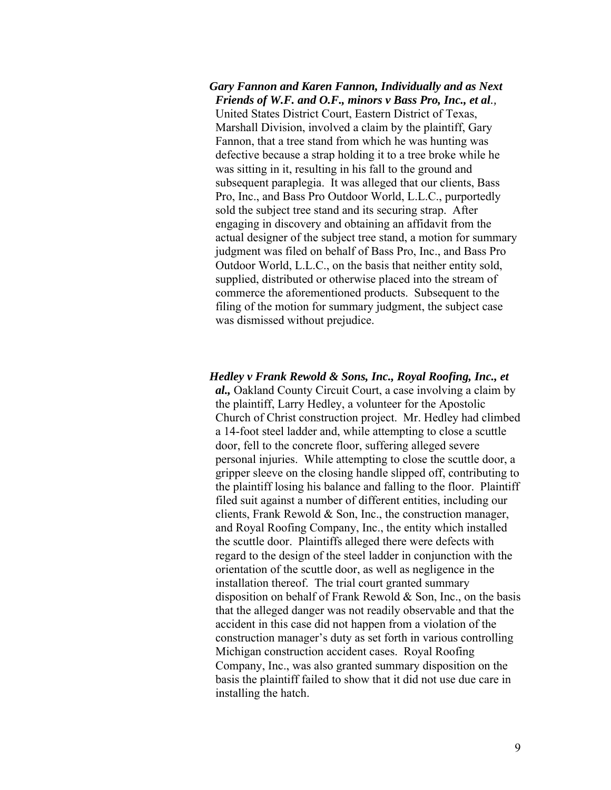## *Gary Fannon and Karen Fannon, Individually and as Next Friends of W.F. and O.F., minors v Bass Pro, Inc., et al.,*  United States District Court, Eastern District of Texas, Marshall Division, involved a claim by the plaintiff, Gary Fannon, that a tree stand from which he was hunting was defective because a strap holding it to a tree broke while he was sitting in it, resulting in his fall to the ground and subsequent paraplegia. It was alleged that our clients, Bass Pro, Inc., and Bass Pro Outdoor World, L.L.C., purportedly sold the subject tree stand and its securing strap. After engaging in discovery and obtaining an affidavit from the actual designer of the subject tree stand, a motion for summary judgment was filed on behalf of Bass Pro, Inc., and Bass Pro Outdoor World, L.L.C., on the basis that neither entity sold, supplied, distributed or otherwise placed into the stream of commerce the aforementioned products. Subsequent to the filing of the motion for summary judgment, the subject case was dismissed without prejudice.

## *Hedley v Frank Rewold & Sons, Inc., Royal Roofing, Inc., et al.,* Oakland County Circuit Court, a case involving a claim by the plaintiff, Larry Hedley, a volunteer for the Apostolic Church of Christ construction project. Mr. Hedley had climbed a 14-foot steel ladder and, while attempting to close a scuttle door, fell to the concrete floor, suffering alleged severe personal injuries. While attempting to close the scuttle door, a gripper sleeve on the closing handle slipped off, contributing to the plaintiff losing his balance and falling to the floor. Plaintiff filed suit against a number of different entities, including our clients, Frank Rewold & Son, Inc., the construction manager, and Royal Roofing Company, Inc., the entity which installed the scuttle door. Plaintiffs alleged there were defects with regard to the design of the steel ladder in conjunction with the orientation of the scuttle door, as well as negligence in the installation thereof. The trial court granted summary disposition on behalf of Frank Rewold & Son, Inc., on the basis that the alleged danger was not readily observable and that the accident in this case did not happen from a violation of the construction manager's duty as set forth in various controlling Michigan construction accident cases. Royal Roofing Company, Inc., was also granted summary disposition on the basis the plaintiff failed to show that it did not use due care in installing the hatch.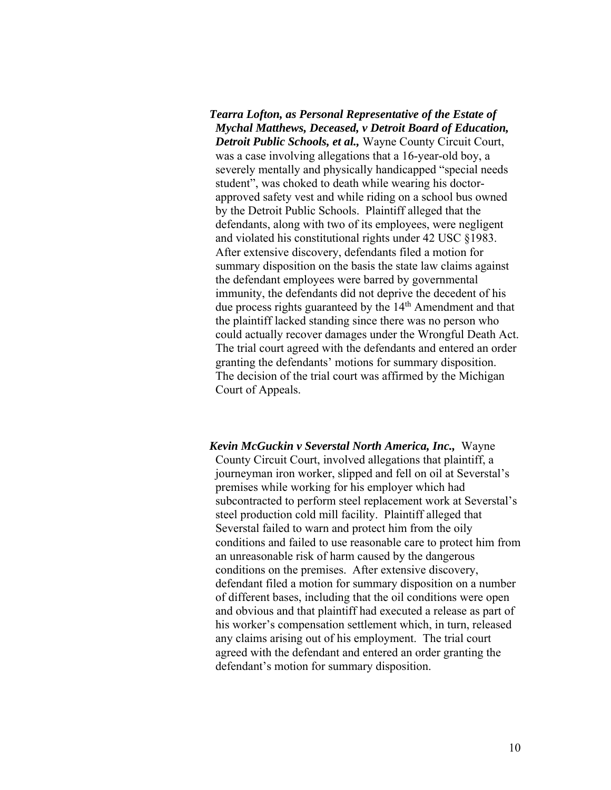*Tearra Lofton, as Personal Representative of the Estate of Mychal Matthews, Deceased, v Detroit Board of Education, Detroit Public Schools, et al.,* Wayne County Circuit Court, was a case involving allegations that a 16-year-old boy, a severely mentally and physically handicapped "special needs student", was choked to death while wearing his doctorapproved safety vest and while riding on a school bus owned by the Detroit Public Schools. Plaintiff alleged that the defendants, along with two of its employees, were negligent and violated his constitutional rights under 42 USC §1983. After extensive discovery, defendants filed a motion for summary disposition on the basis the state law claims against the defendant employees were barred by governmental immunity, the defendants did not deprive the decedent of his due process rights guaranteed by the 14<sup>th</sup> Amendment and that the plaintiff lacked standing since there was no person who could actually recover damages under the Wrongful Death Act. The trial court agreed with the defendants and entered an order granting the defendants' motions for summary disposition. The decision of the trial court was affirmed by the Michigan Court of Appeals.

*Kevin McGuckin v Severstal North America, Inc.,* Wayne County Circuit Court, involved allegations that plaintiff, a journeyman iron worker, slipped and fell on oil at Severstal's premises while working for his employer which had subcontracted to perform steel replacement work at Severstal's steel production cold mill facility. Plaintiff alleged that Severstal failed to warn and protect him from the oily conditions and failed to use reasonable care to protect him from an unreasonable risk of harm caused by the dangerous conditions on the premises. After extensive discovery, defendant filed a motion for summary disposition on a number of different bases, including that the oil conditions were open and obvious and that plaintiff had executed a release as part of his worker's compensation settlement which, in turn, released any claims arising out of his employment. The trial court agreed with the defendant and entered an order granting the defendant's motion for summary disposition.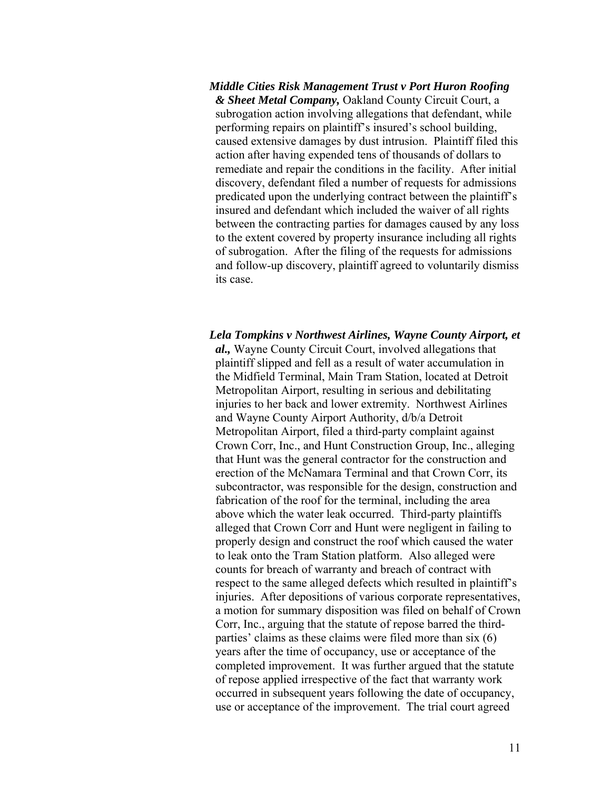*Middle Cities Risk Management Trust v Port Huron Roofing & Sheet Metal Company,* Oakland County Circuit Court, a subrogation action involving allegations that defendant, while performing repairs on plaintiff's insured's school building, caused extensive damages by dust intrusion. Plaintiff filed this action after having expended tens of thousands of dollars to remediate and repair the conditions in the facility. After initial discovery, defendant filed a number of requests for admissions predicated upon the underlying contract between the plaintiff's insured and defendant which included the waiver of all rights between the contracting parties for damages caused by any loss to the extent covered by property insurance including all rights of subrogation. After the filing of the requests for admissions and follow-up discovery, plaintiff agreed to voluntarily dismiss its case.

*Lela Tompkins v Northwest Airlines, Wayne County Airport, et al.,* Wayne County Circuit Court, involved allegations that plaintiff slipped and fell as a result of water accumulation in the Midfield Terminal, Main Tram Station, located at Detroit Metropolitan Airport, resulting in serious and debilitating injuries to her back and lower extremity. Northwest Airlines and Wayne County Airport Authority, d/b/a Detroit Metropolitan Airport, filed a third-party complaint against Crown Corr, Inc., and Hunt Construction Group, Inc., alleging that Hunt was the general contractor for the construction and erection of the McNamara Terminal and that Crown Corr, its subcontractor, was responsible for the design, construction and fabrication of the roof for the terminal, including the area above which the water leak occurred. Third-party plaintiffs alleged that Crown Corr and Hunt were negligent in failing to properly design and construct the roof which caused the water to leak onto the Tram Station platform. Also alleged were counts for breach of warranty and breach of contract with respect to the same alleged defects which resulted in plaintiff's injuries. After depositions of various corporate representatives, a motion for summary disposition was filed on behalf of Crown Corr, Inc., arguing that the statute of repose barred the thirdparties' claims as these claims were filed more than six (6) years after the time of occupancy, use or acceptance of the completed improvement. It was further argued that the statute of repose applied irrespective of the fact that warranty work occurred in subsequent years following the date of occupancy, use or acceptance of the improvement. The trial court agreed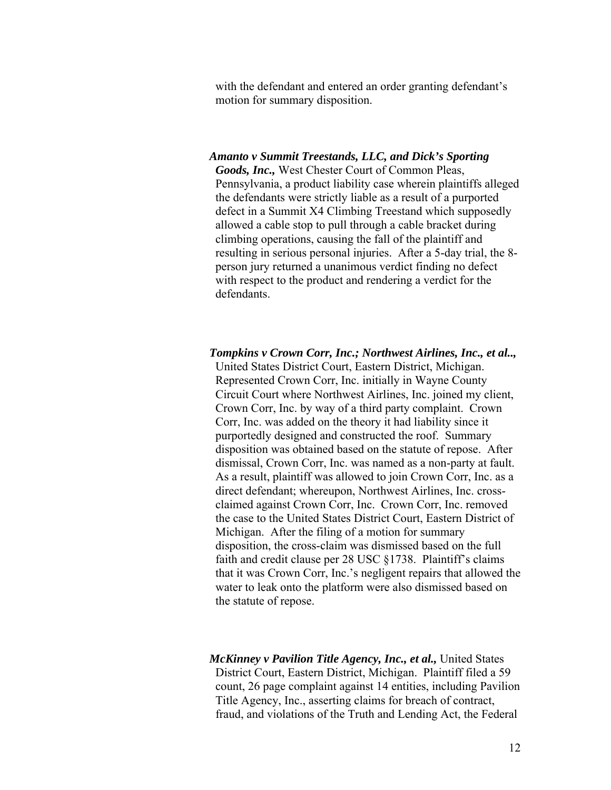with the defendant and entered an order granting defendant's motion for summary disposition.

## *Amanto v Summit Treestands, LLC, and Dick's Sporting*

*Goods, Inc.,* West Chester Court of Common Pleas, Pennsylvania, a product liability case wherein plaintiffs alleged the defendants were strictly liable as a result of a purported defect in a Summit X4 Climbing Treestand which supposedly allowed a cable stop to pull through a cable bracket during climbing operations, causing the fall of the plaintiff and resulting in serious personal injuries. After a 5-day trial, the 8 person jury returned a unanimous verdict finding no defect with respect to the product and rendering a verdict for the defendants.

*Tompkins v Crown Corr, Inc.; Northwest Airlines, Inc., et al..,*  United States District Court, Eastern District, Michigan. Represented Crown Corr, Inc. initially in Wayne County Circuit Court where Northwest Airlines, Inc. joined my client, Crown Corr, Inc. by way of a third party complaint. Crown Corr, Inc. was added on the theory it had liability since it purportedly designed and constructed the roof. Summary disposition was obtained based on the statute of repose. After dismissal, Crown Corr, Inc. was named as a non-party at fault. As a result, plaintiff was allowed to join Crown Corr, Inc. as a direct defendant; whereupon, Northwest Airlines, Inc. crossclaimed against Crown Corr, Inc. Crown Corr, Inc. removed the case to the United States District Court, Eastern District of Michigan. After the filing of a motion for summary disposition, the cross-claim was dismissed based on the full faith and credit clause per 28 USC §1738. Plaintiff's claims that it was Crown Corr, Inc.'s negligent repairs that allowed the water to leak onto the platform were also dismissed based on the statute of repose.

*McKinney v Pavilion Title Agency, Inc., et al., United States* District Court, Eastern District, Michigan. Plaintiff filed a 59 count, 26 page complaint against 14 entities, including Pavilion Title Agency, Inc., asserting claims for breach of contract, fraud, and violations of the Truth and Lending Act, the Federal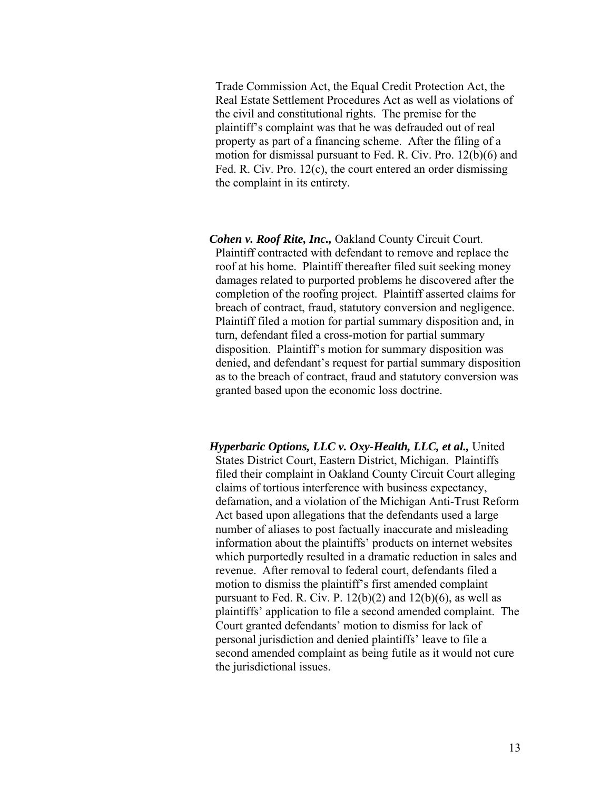Trade Commission Act, the Equal Credit Protection Act, the Real Estate Settlement Procedures Act as well as violations of the civil and constitutional rights. The premise for the plaintiff's complaint was that he was defrauded out of real property as part of a financing scheme. After the filing of a motion for dismissal pursuant to Fed. R. Civ. Pro. 12(b)(6) and Fed. R. Civ. Pro. 12(c), the court entered an order dismissing the complaint in its entirety.

- *Cohen v. Roof Rite, Inc.,* Oakland County Circuit Court. Plaintiff contracted with defendant to remove and replace the roof at his home. Plaintiff thereafter filed suit seeking money damages related to purported problems he discovered after the completion of the roofing project. Plaintiff asserted claims for breach of contract, fraud, statutory conversion and negligence. Plaintiff filed a motion for partial summary disposition and, in turn, defendant filed a cross-motion for partial summary disposition. Plaintiff's motion for summary disposition was denied, and defendant's request for partial summary disposition as to the breach of contract, fraud and statutory conversion was granted based upon the economic loss doctrine.
- *Hyperbaric Options, LLC v. Oxy-Health, LLC, et al.,* United States District Court, Eastern District, Michigan. Plaintiffs filed their complaint in Oakland County Circuit Court alleging claims of tortious interference with business expectancy, defamation, and a violation of the Michigan Anti-Trust Reform Act based upon allegations that the defendants used a large number of aliases to post factually inaccurate and misleading information about the plaintiffs' products on internet websites which purportedly resulted in a dramatic reduction in sales and revenue. After removal to federal court, defendants filed a motion to dismiss the plaintiff's first amended complaint pursuant to Fed. R. Civ. P.  $12(b)(2)$  and  $12(b)(6)$ , as well as plaintiffs' application to file a second amended complaint. The Court granted defendants' motion to dismiss for lack of personal jurisdiction and denied plaintiffs' leave to file a second amended complaint as being futile as it would not cure the jurisdictional issues.